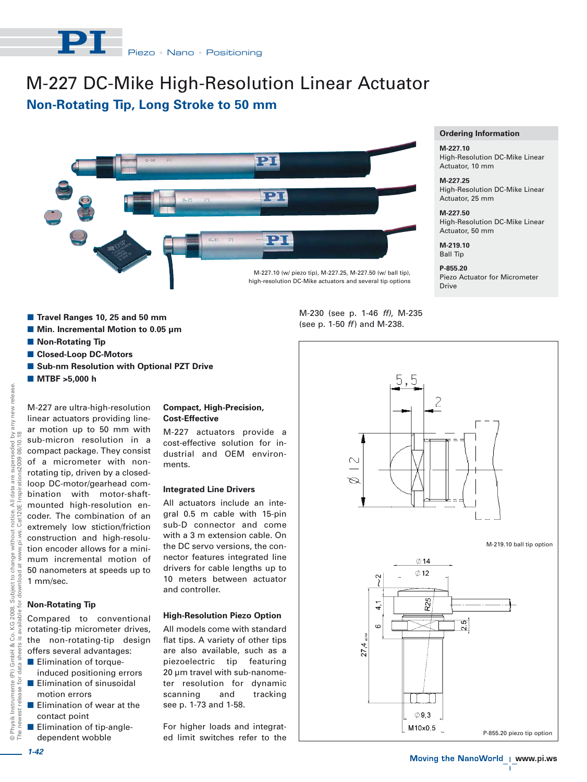# M-227 DC-Mike High-Resolution Linear Actuator **Non-Rotating Tip, Long Stroke to 50 mm**



- Travel Ranges 10, 25 and 50 mm
- Min. Incremental Motion to 0.05 µm
- **Non-Rotating Tip**
- **E** Closed-Loop DC-Motors
- **E** Sub-nm Resolution with Optional PZT Drive
- **MTBF >5,000 h**

M-227 are ultra-high-resolution linear actuators providing linear motion up to 50 mm with  $\geq \frac{8}{18}$ The newest release for data sheets is available for download at www.pi.ws. Cat120E Inspirations2009 08/10.18 sub-micron resolution in a  $08'$ compact package. They consist nspirations2009 of a micrometer with nonrotating tip, driven by a closedloop DC-motor/gearhead combination with motor-shaftmounted high-resolution ennotice.<br>Cat120E coder. The combination of an extremely low stiction/friction construction and high-resoluchange with<br>ad at www.p tion encoder allows for a minimum incremental motion of 50 nanometers at speeds up to hload 1 mm/sec. Subject 1<br>or downlo

# **Non-Rotating Tip**

© Physik Instrumente (PI) GmbH & Co. KG 2008. Subject to change without notice. All data are superseded by any new release.

 $\mathrel{\mathop{\mathbb{C}}\nolimits}$ 

2008. able

KG

 $\propto$ 

GmbH  $($ Pl $)$ ŏ, Instrumente relea

Physik I

 $^{\circ}_{\circ}$  F

 $rac{1}{2}$ 

for

without

any new release

are superseded

data  $\overline{z}$ 

> Compared to conventional rotating-tip micrometer drives, the non-rotating-tip design offers several advantages:

- **Elimination of torque**induced positioning errors
- **Elimination of sinusoidal** motion errors
- **Elimination of wear at the** contact point
- **Elimination of tip-angle**dependent wobble

## **Compact, High-Precision, Cost-Effective**

M-227 actuators provide a cost-effective solution for industrial and OEM environments.

#### **Integrated Line Drivers**

All actuators include an integral 0.5 m cable with 15-pin sub-D connector and come with a 3 m extension cable. On the DC servo versions, the connector features integrated line drivers for cable lengths up to 10 meters between actuator and controller.

### **High-Resolution Piezo Option**

All models come with standard flat tips. A variety of other tips are also available, such as a piezoelectric tip featuring 20 µm travel with sub-nanometer resolution for dynamic scanning and tracking see p. 1-73 and 1-58.

For higher loads and integrated limit switches refer to the



#### **Ordering Information**

#### **M-227.10** High-Resolution DC-Mike Linear Actuator, 10 mm

**M-227.25** High-Resolution DC-Mike Linear Actuator, 25 mm

**M-227.50** High-Resolution DC-Mike Linear Actuator, 50 mm

**M-219.10** Ball Tip

**P-855.20** Piezo Actuator for Micrometer Drive